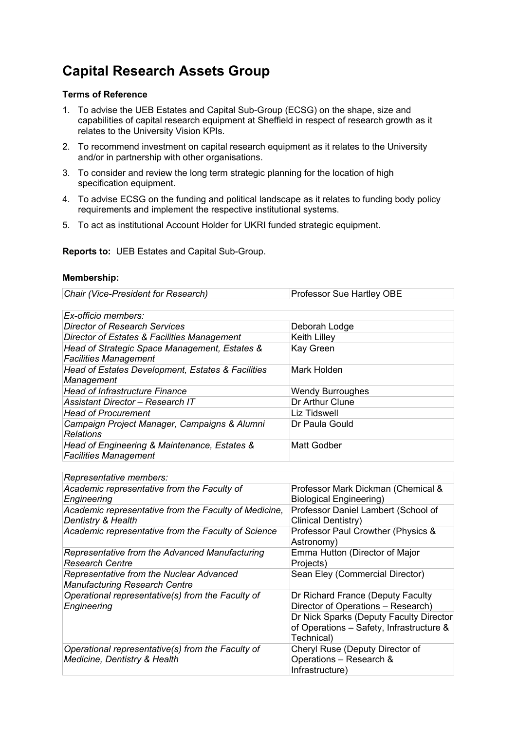## **Capital Research Assets Group**

## **Terms of Reference**

- 1. To advise the UEB Estates and Capital Sub-Group (ECSG) on the shape, size and capabilities of capital research equipment at Sheffield in respect of research growth as it relates to the University Vision KPIs.
- 2. To recommend investment on capital research equipment as it relates to the University and/or in partnership with other organisations.
- 3. To consider and review the long term strategic planning for the location of high specification equipment.
- 4. To advise ECSG on the funding and political landscape as it relates to funding body policy requirements and implement the respective institutional systems.
- 5. To act as institutional Account Holder for UKRI funded strategic equipment.

**Reports to:** UEB Estates and Capital Sub-Group.

## **Membership:**

| Chair (Vice-President for Research) | <b>Professor Sue Hartley OBE</b> |
|-------------------------------------|----------------------------------|
|                                     |                                  |

| Ex-officio members:                                                           |                         |
|-------------------------------------------------------------------------------|-------------------------|
| <b>Director of Research Services</b>                                          | Deborah Lodge           |
| Director of Estates & Facilities Management                                   | Keith Lilley            |
| Head of Strategic Space Management, Estates &<br><b>Facilities Management</b> | Kay Green               |
| Head of Estates Development, Estates & Facilities<br>Management               | Mark Holden             |
| <b>Head of Infrastructure Finance</b>                                         | <b>Wendy Burroughes</b> |
| Assistant Director – Research IT                                              | Dr Arthur Clune         |
| <b>Head of Procurement</b>                                                    | <b>Liz Tidswell</b>     |
| Campaign Project Manager, Campaigns & Alumni<br><b>Relations</b>              | Dr Paula Gould          |
| Head of Engineering & Maintenance, Estates &<br><b>Facilities Management</b>  | Matt Godber             |

| Representative members:                                                           |                                                                                                   |
|-----------------------------------------------------------------------------------|---------------------------------------------------------------------------------------------------|
| Academic representative from the Faculty of<br>Engineering                        | Professor Mark Dickman (Chemical &<br><b>Biological Engineering)</b>                              |
| Academic representative from the Faculty of Medicine,<br>Dentistry & Health       | Professor Daniel Lambert (School of<br>Clinical Dentistry)                                        |
| Academic representative from the Faculty of Science                               | Professor Paul Crowther (Physics &<br>Astronomy)                                                  |
| Representative from the Advanced Manufacturing<br><b>Research Centre</b>          | Emma Hutton (Director of Major<br>Projects)                                                       |
| Representative from the Nuclear Advanced<br><b>Manufacturing Research Centre</b>  | Sean Eley (Commercial Director)                                                                   |
| Operational representative(s) from the Faculty of<br>Engineering                  | Dr Richard France (Deputy Faculty<br>Director of Operations - Research)                           |
|                                                                                   | Dr Nick Sparks (Deputy Faculty Director<br>of Operations - Safety, Infrastructure &<br>Technical) |
| Operational representative(s) from the Faculty of<br>Medicine, Dentistry & Health | Cheryl Ruse (Deputy Director of<br>Operations - Research &<br>Infrastructure)                     |